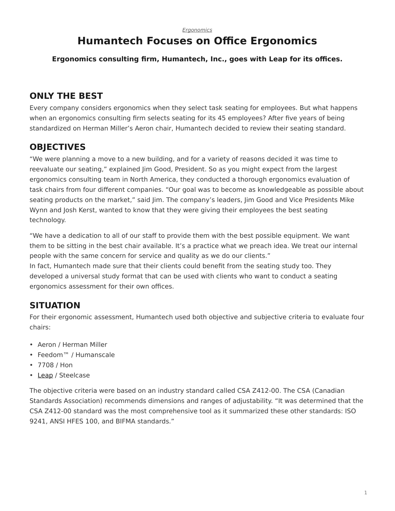#### *[Ergonomics](https://www.steelcase.com/research/topics/ergonomics/)*

# <span id="page-0-0"></span>**Humantech Focuses on Office Ergonomics**

**Ergonomics consulting firm, Humantech, Inc., goes with Leap for its offices.**

## **ONLY THE BEST**

Every company considers ergonomics when they select task seating for employees. But what happens when an ergonomics consulting firm selects seating for its 45 employees? After five years of being standardized on Herman Miller's Aeron chair, Humantech decided to review their seating standard.

# **OBJECTIVES**

"We were planning a move to a new building, and for a variety of reasons decided it was time to reevaluate our seating," explained Jim Good, President. So as you might expect from the largest ergonomics consulting team in North America, they conducted a thorough ergonomics evaluation of task chairs from four different companies. "Our goal was to become as knowledgeable as possible about seating products on the market," said Jim. The company's leaders, Jim Good and Vice Presidents Mike Wynn and Josh Kerst, wanted to know that they were giving their employees the best seating technology.

"We have a dedication to all of our staff to provide them with the best possible equipment. We want them to be sitting in the best chair available. It's a practice what we preach idea. We treat our internal people with the same concern for service and quality as we do our clients."

In fact, Humantech made sure that their clients could benefit from the seating study too. They developed a universal study format that can be used with clients who want to conduct a seating ergonomics assessment for their own offices.

## **SITUATION**

For their ergonomic assessment, Humantech used both objective and subjective criteria to evaluate four chairs:

- Aeron / Herman Miller
- Feedom™ / Humanscale
- 7708 / Hon
- [Leap](https://www.steelcase.com/products/lounge-seating/leap/) / Steelcase

The objective criteria were based on an industry standard called CSA Z412-00. The CSA (Canadian Standards Association) recommends dimensions and ranges of adjustability. "It was determined that the CSA Z412-00 standard was the most comprehensive tool as it summarized these other standards: ISO 9241, ANSI HFES 100, and BIFMA standards."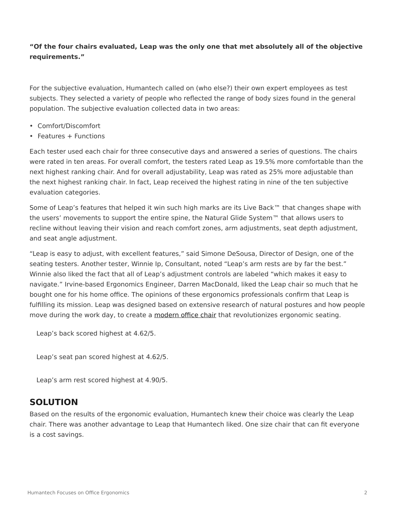#### **"Of the four chairs evaluated, Leap was the only one that met absolutely all of the objective requirements."**

For the subjective evaluation, Humantech called on (who else?) their own expert employees as test subjects. They selected a variety of people who reflected the range of body sizes found in the general population. The subjective evaluation collected data in two areas:

- Comfort/Discomfort
- Features + Functions

Each tester used each chair for three consecutive days and answered a series of questions. The chairs were rated in ten areas. For overall comfort, the testers rated Leap as 19.5% more comfortable than the next highest ranking chair. And for overall adjustability, Leap was rated as 25% more adjustable than the next highest ranking chair. In fact, Leap received the highest rating in nine of the ten subjective evaluation categories.

Some of Leap's features that helped it win such high marks are its Live Back™ that changes shape with the users' movements to support the entire spine, the Natural Glide System™ that allows users to recline without leaving their vision and reach comfort zones, arm adjustments, seat depth adjustment, and seat angle adjustment.

"Leap is easy to adjust, with excellent features," said Simone DeSousa, Director of Design, one of the seating testers. Another tester, Winnie Ip, Consultant, noted "Leap's arm rests are by far the best." Winnie also liked the fact that all of Leap's adjustment controls are labeled "which makes it easy to navigate." Irvine-based Ergonomics Engineer, Darren MacDonald, liked the Leap chair so much that he bought one for his home office. The opinions of these ergonomics professionals confirm that Leap is fulfilling its mission. Leap was designed based on extensive research of natural postures and how people move during the work day, to create a [modern office chair](https://www.steelcase.com/products/office-chairs/) that revolutionizes ergonomic seating.

Leap's back scored highest at 4.62/5.

Leap's seat pan scored highest at 4.62/5.

Leap's arm rest scored highest at 4.90/5.

#### **SOLUTION**

Based on the results of the ergonomic evaluation, Humantech knew their choice was clearly the Leap chair. There was another advantage to Leap that Humantech liked. One size chair that can fit everyone is a cost savings.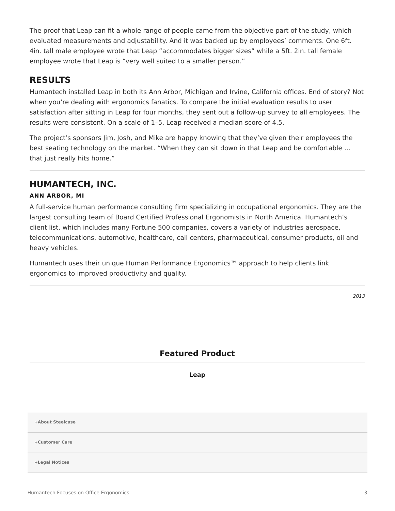The proof that Leap can fit a whole range of people came from the objective part of the study, which evaluated measurements and adjustability. And it was backed up by employees' comments. One 6ft. 4in. tall male employee wrote that Leap "accommodates bigger sizes" while a 5ft. 2in. tall female employee wrote that Leap is "very well suited to a smaller person."

#### **RESULTS**

Humantech installed Leap in both its Ann Arbor, Michigan and Irvine, California offices. End of story? Not when you're dealing with ergonomics fanatics. To compare the initial evaluation results to user satisfaction after sitting in Leap for four months, they sent out a follow-up survey to all employees. The results were consistent. On a scale of 1–5, Leap received a median score of 4.5.

The project's sponsors Jim, Josh, and Mike are happy knowing that they've given their employees the best seating technology on the market. "When they can sit down in that Leap and be comfortable … that just really hits home."

### **HUMANTECH, INC.**

#### **ANN ARBOR, MI**

A full-service human performance consulting firm specializing in occupational ergonomics. They are the largest consulting team of Board Certified Professional Ergonomists in North America. Humantech's client list, which includes many Fortune 500 companies, covers a variety of industries aerospace, telecommunications, automotive, healthcare, call centers, pharmaceutical, consumer products, oil and heavy vehicles.

Humantech uses their unique Human Performance Ergonomics™ approach to help clients link ergonomics to improved productivity and quality.

### **Featured Product**

**[Leap](https://www.steelcase.com/products/office-chairs/leap/)**

**[+About Steelcase](https://www.steelcase.com/discover/steelcase/our-company/)**

**[+Customer Care](#page-0-0)**

**[+Legal Notices](#page-0-0)**